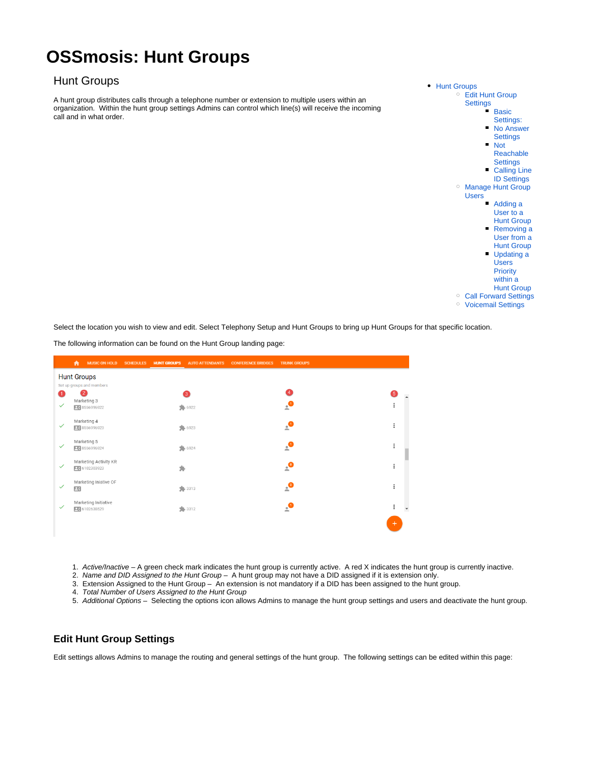# **OSSmosis: Hunt Groups**

# <span id="page-0-0"></span>Hunt Groups

A hunt group distributes calls through a telephone number or extension to multiple users within an organization. Within the hunt group settings Admins can control which line(s) will receive the incoming call and in what order.



Select the location you wish to view and edit. Select Telephony Setup and Hunt Groups to bring up Hunt Groups for that specific location.

The following information can be found on the Hunt Group landing page:

|              | 査<br><b>MUSIC ON HOLD</b>      | <b>SCHEDULES</b> | <b>HUNT GROUPS</b> | <b>AUTO ATTENDANTS</b> | <b>CONFERENCE BRIDGES</b> | <b>TRUNK GROUPS</b> |           |                          |
|--------------|--------------------------------|------------------|--------------------|------------------------|---------------------------|---------------------|-----------|--------------------------|
|              | <b>Hunt Groups</b>             |                  |                    |                        |                           |                     |           |                          |
| Œ            | Set up groups and members<br>2 |                  |                    | Q                      |                           | $\sqrt{4}$          | 6         |                          |
|              | Marketing 3                    |                  |                    |                        |                           |                     |           |                          |
| $\checkmark$ | 96 8556996922                  |                  |                    | 922                    |                           | $\mathbf{C}$        | $\vdots$  |                          |
|              | Marketing 4                    |                  |                    |                        |                           |                     |           |                          |
| $\checkmark$ | 96 8556996923                  |                  |                    | 923                    |                           | $\mathbf{C}$        | $\vdots$  |                          |
| $\checkmark$ | Marketing 5                    |                  |                    |                        |                           |                     | $\vdots$  |                          |
|              | 96 8556996924                  |                  |                    | 924                    |                           | $\mathbf{C}$        |           |                          |
| $\checkmark$ | Marketing Activity KR          |                  |                    |                        |                           | $\epsilon$          | ÷         |                          |
|              | 96 6102303923                  |                  | 乡                  |                        |                           |                     |           |                          |
| $\checkmark$ | Marketing Iniative OF          |                  |                    |                        |                           |                     | $\vdots$  |                          |
|              | $\Box$                         |                  |                    | 94.3313                |                           | $\mathbf{e}$        |           |                          |
| $\checkmark$ | Marketing Initiative           |                  |                    |                        |                           |                     | $\vdots$  |                          |
|              | 96102638529                    |                  |                    | $\frac{1}{2}$ 3312     |                           | $\mathbf{e}$        |           | $\overline{\phantom{a}}$ |
|              |                                |                  |                    |                        |                           |                     | $\ddot{}$ |                          |
|              |                                |                  |                    |                        |                           |                     |           |                          |

1. Active/Inactive – A green check mark indicates the hunt group is currently active. A red X indicates the hunt group is currently inactive.

2. Name and DID Assigned to the Hunt Group – A hunt group may not have a DID assigned if it is extension only.

3. Extension Assigned to the Hunt Group – An extension is not mandatory if a DID has been assigned to the hunt group.

- 4. Total Number of Users Assigned to the Hunt Group
- 5. Additional Options Selecting the options icon allows Admins to manage the hunt group settings and users and deactivate the hunt group.

# <span id="page-0-1"></span>**Edit Hunt Group Settings**

Edit settings allows Admins to manage the routing and general settings of the hunt group. The following settings can be edited within this page: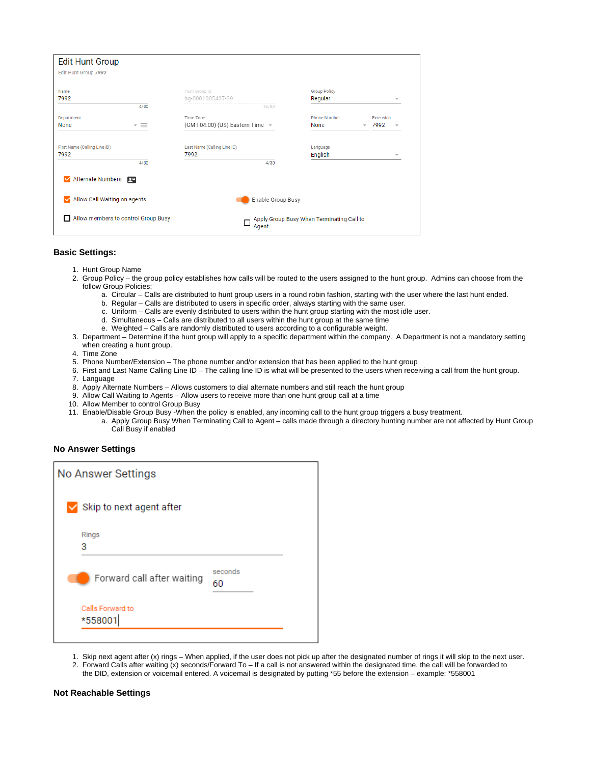| <b>Edit Hunt Group</b>         |                                     |                                                   |                                                                              |                          |
|--------------------------------|-------------------------------------|---------------------------------------------------|------------------------------------------------------------------------------|--------------------------|
| Edit Hunt Group 7992           |                                     |                                                   |                                                                              |                          |
| Name                           |                                     | Hunt Group ID                                     | <b>Group Policy</b>                                                          |                          |
| 7992                           | 4/30                                | hg-0001005437-39<br>16/80                         | Regular                                                                      | $\overline{\phantom{a}}$ |
| Department<br>None             | $\overline{\phantom{a}}$ =          | Time Zone<br>(GMT-04:00) (US) Eastern Time $\sim$ | <b>Phone Number</b><br>Extension<br>7992<br>None<br>$\overline{\phantom{a}}$ | $\overline{\phantom{a}}$ |
| First Name (Calling Line ID)   |                                     | Last Name (Calling Line ID)                       | Language                                                                     |                          |
| 7992                           |                                     | 7992                                              | English                                                                      | $\overline{\phantom{a}}$ |
|                                | 4/30                                | 4/30                                              |                                                                              |                          |
| Alternate Numbers              | 罒                                   |                                                   |                                                                              |                          |
| M Allow Call Waiting on agents |                                     | Enable Group Busy                                 |                                                                              |                          |
|                                | Allow members to control Group Busy | П<br>Agent                                        | Apply Group Busy When Terminating Call to                                    |                          |

#### <span id="page-1-0"></span>**Basic Settings:**

- 1. Hunt Group Name
- 2. Group Policy the group policy establishes how calls will be routed to the users assigned to the hunt group. Admins can choose from the follow Group Policies:
	- a. Circular Calls are distributed to hunt group users in a round robin fashion, starting with the user where the last hunt ended.
	- b. Regular Calls are distributed to users in specific order, always starting with the same user.
	- c. Uniform Calls are evenly distributed to users within the hunt group starting with the most idle user.
	- d. Simultaneous Calls are distributed to all users within the hunt group at the same time
		- e. Weighted Calls are randomly distributed to users according to a configurable weight.
- 3. Department Determine if the hunt group will apply to a specific department within the company. A Department is not a mandatory setting when creating a hunt group.
- 4. Time Zone
- 5. Phone Number/Extension The phone number and/or extension that has been applied to the hunt group
- 6. First and Last Name Calling Line ID The calling line ID is what will be presented to the users when receiving a call from the hunt group.
- 7. Language
- 8. Apply Alternate Numbers Allows customers to dial alternate numbers and still reach the hunt group
- 9. Allow Call Waiting to Agents Allow users to receive more than one hunt group call at a time
- 10. Allow Member to control Group Busy
- 11. Enable/Disable Group Busy -When the policy is enabled, any incoming call to the hunt group triggers a busy treatment.
	- a. Apply Group Busy When Terminating Call to Agent calls made through a directory hunting number are not affected by Hunt Group Call Busy if enabled

#### <span id="page-1-1"></span>**No Answer Settings**

| No Answer Settings              |               |  |
|---------------------------------|---------------|--|
| $\vee$ Skip to next agent after |               |  |
| Rings<br>3                      |               |  |
| Forward call after waiting      | seconds<br>60 |  |
| Calls Forward to<br>*558001     |               |  |

- 1. Skip next agent after (x) rings When applied, if the user does not pick up after the designated number of rings it will skip to the next user.
- 2. Forward Calls after waiting (x) seconds/Forward To If a call is not answered within the designated time, the call will be forwarded to the DID, extension or voicemail entered. A voicemail is designated by putting \*55 before the extension – example: \*558001

#### <span id="page-1-2"></span>**Not Reachable Settings**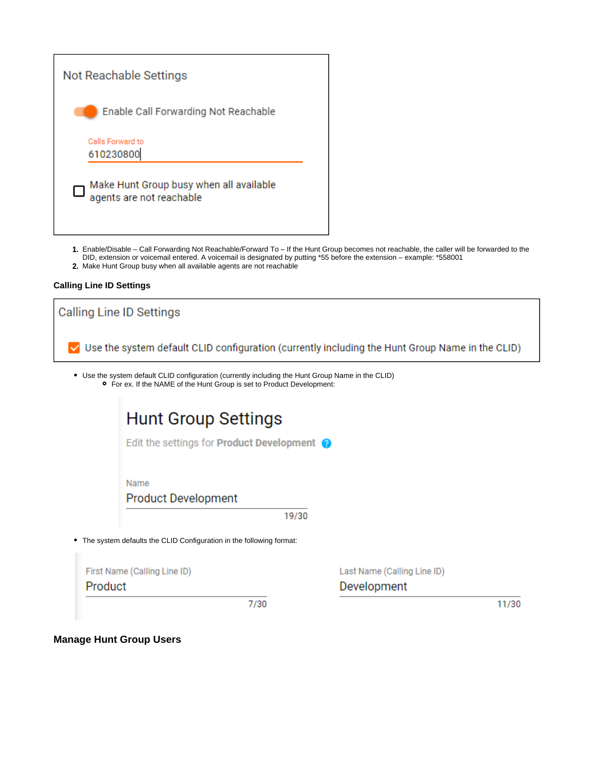

- 1. Enable/Disable Call Forwarding Not Reachable/Forward To If the Hunt Group becomes not reachable, the caller will be forwarded to the DID, extension or voicemail entered. A voicemail is designated by putting \*55 before the extension – example: \*558001
- 2. Make Hunt Group busy when all available agents are not reachable

# <span id="page-2-0"></span>**Calling Line ID Settings**

| Calling Line ID Settings                                                                                                                                                           |                             |  |  |
|------------------------------------------------------------------------------------------------------------------------------------------------------------------------------------|-----------------------------|--|--|
| Use the system default CLID configuration (currently including the Hunt Group Name in the CLID)                                                                                    |                             |  |  |
| • Use the system default CLID configuration (currently including the Hunt Group Name in the CLID)<br><b>o</b> For ex. If the NAME of the Hunt Group is set to Product Development: |                             |  |  |
| <b>Hunt Group Settings</b>                                                                                                                                                         |                             |  |  |
| Edit the settings for <b>Product Development</b> $\bullet$                                                                                                                         |                             |  |  |
| Name<br><b>Product Development</b>                                                                                                                                                 |                             |  |  |
| 19/30                                                                                                                                                                              |                             |  |  |
| • The system defaults the CLID Configuration in the following format:                                                                                                              |                             |  |  |
| First Name (Calling Line ID)                                                                                                                                                       | Last Name (Calling Line ID) |  |  |
| Product                                                                                                                                                                            | Development                 |  |  |
| 7/30                                                                                                                                                                               | 11/30                       |  |  |
|                                                                                                                                                                                    |                             |  |  |

<span id="page-2-1"></span>**Manage Hunt Group Users**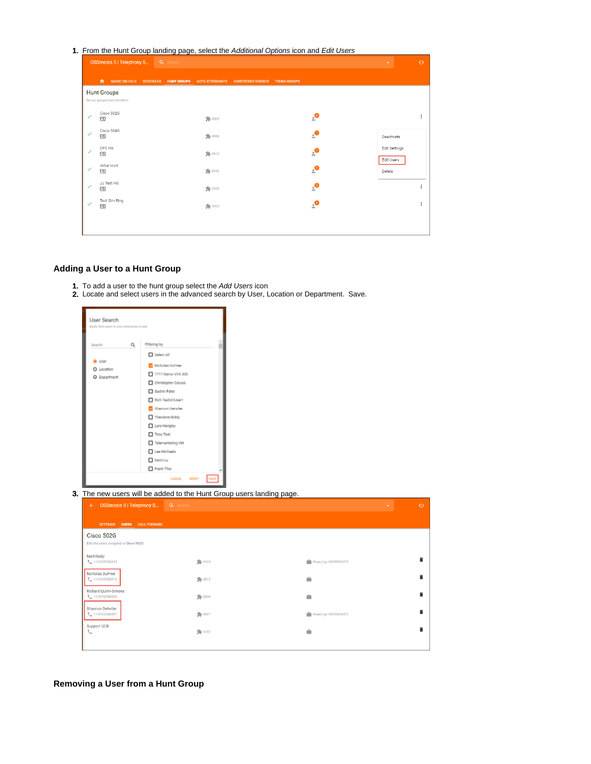1. From the Hunt Group landing page, select the Additional Options icon and Edit Users

|              | <b>OSSmosis 5   Telephony S Q Search</b>        |  |         |                                                                        |                     |                         |                      | $\circ$ |
|--------------|-------------------------------------------------|--|---------|------------------------------------------------------------------------|---------------------|-------------------------|----------------------|---------|
|              | $\bullet$                                       |  |         | MUSIC ON HOLD SCHEDULES HUNT GROUPS AUTO ATTENDANTS CONFERENCE BRIDGES | <b>TRUNK GROUPS</b> |                         |                      |         |
|              | <b>Hunt Groups</b><br>Set up groups and members |  |         |                                                                        |                     |                         |                      |         |
| $\checkmark$ | Cisco 502G<br>四                                 |  | 50 8859 |                                                                        |                     | $\mathbf{e}$            |                      |         |
|              | Cisco 504G<br>四                                 |  | 30 8858 |                                                                        |                     | $\mathbf{e}$            | Deactivate           |         |
|              | DP2 HG<br>四                                     |  | 9912    |                                                                        |                     | $\frac{1}{2}$           | Edit Settings        |         |
| $\checkmark$ | Initial Hunt<br>巴                               |  | 94.8132 |                                                                        |                     | $\epsilon$ <sup>2</sup> | Edit Users<br>Delete |         |
| $\checkmark$ | JJ Test HG<br>四                                 |  | 94.5333 |                                                                        |                     | $\epsilon$              |                      |         |
| ✓            | Test Sim Ring<br>四                              |  | \$ 9200 |                                                                        |                     | $\cdot^{\circ}$         |                      | ÷       |
|              |                                                 |  |         |                                                                        |                     |                         |                      |         |
|              |                                                 |  |         |                                                                        |                     |                         |                      |         |

# <span id="page-3-0"></span>**Adding a User to a Hunt Group**

- 1. To add a user to the hunt group select the Add Users icon
- 2. Locate and select users in the advanced search by User, Location or Department. Save.

|                                                     | Easily find users in your enterprise to add                                                                                                                                                                                                  |                       |
|-----------------------------------------------------|----------------------------------------------------------------------------------------------------------------------------------------------------------------------------------------------------------------------------------------------|-----------------------|
| Q<br>Search                                         | Filtering by:                                                                                                                                                                                                                                |                       |
| @ User<br>O Location<br>O Department                | Select All<br>Micholas DuPree<br>1717 Demo VVX 300<br>Christopher Caruso<br>Sachin Patel<br>Rich TestUCUser1<br>Sharmon Delwier<br>Theodore Biddy<br>Lara Hangley<br>Tony Test<br>Telemarketing VM<br>Lee Michaels<br>Kevin Lu<br>Frank Thai |                       |
|                                                     |                                                                                                                                                                                                                                              |                       |
|                                                     | CANCEL.<br>RESET                                                                                                                                                                                                                             |                       |
|                                                     | 3. The new users will be added to the Hunt Group users landing page.                                                                                                                                                                         |                       |
| <b>OSSmosis 5   Telephony S</b><br>$\leftarrow$     | Q Search                                                                                                                                                                                                                                     |                       |
| SETTINGS USERS CALL FORWARD                         |                                                                                                                                                                                                                                              |                       |
| Cisco 502G<br>Edit the users assigned to Cisco 502G |                                                                                                                                                                                                                                              |                       |
| Neill Reidy<br>$\frac{1}{2}$ +1-6102320453          | 90453                                                                                                                                                                                                                                        | Wayne (gr-0001005437) |
| Nicholas DuPree<br>₹. +1-6102300812                 | 90012                                                                                                                                                                                                                                        |                       |
| Richard Quinn-Simons<br>₹_+1-6102300830             | 50 0830                                                                                                                                                                                                                                      |                       |
| Shannon Detwiler<br>$-1 - 6102300807$               | \$0807                                                                                                                                                                                                                                       | Wayne (gr-0001005437) |

<span id="page-3-1"></span>**Removing a User from a Hunt Group**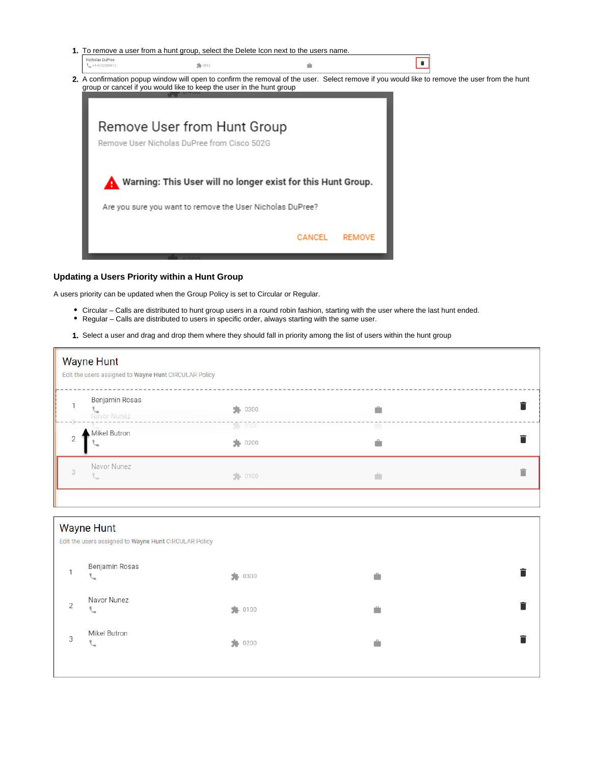

### <span id="page-4-0"></span>**Updating a Users Priority within a Hunt Group**

A users priority can be updated when the Group Policy is set to Circular or Regular.

- Circular Calls are distributed to hunt group users in a round robin fashion, starting with the user where the last hunt ended.
- Regular Calls are distributed to users in specific order, always starting with the same user.
- 1. Select a user and drag and drop them where they should fall in priority among the list of users within the hunt group

|                                      | <b>Wayne Hunt</b><br>Edit the users assigned to Wayne Hunt CIRCULAR Policy |                                                      |        |  |
|--------------------------------------|----------------------------------------------------------------------------|------------------------------------------------------|--------|--|
| $\sim -3 - \gamma$<br>$\overline{2}$ | Benjamin Rosas<br>Navor Nunez<br>Mikel Butron                              | $\frac{1}{2}$ 0300<br>$-0.000$<br>$\frac{1}{2}$ 0200 | â<br>÷ |  |
| 3                                    | Navor Nunez                                                                | $-0100$                                              | û      |  |

<span id="page-4-1"></span>

|                | <b>Wayne Hunt</b><br>Edit the users assigned to Wayne Hunt CIRCULAR Policy |                    |   |  |
|----------------|----------------------------------------------------------------------------|--------------------|---|--|
|                | Benjamin Rosas<br>◡                                                        | $\frac{1}{2}$ 0300 |   |  |
| $\overline{2}$ | Navor Nunez<br>◡                                                           | $\frac{1}{2}$ 0100 | â |  |
| 3              | Mikel Butron<br>╰                                                          | 9200               | â |  |
|                |                                                                            |                    |   |  |